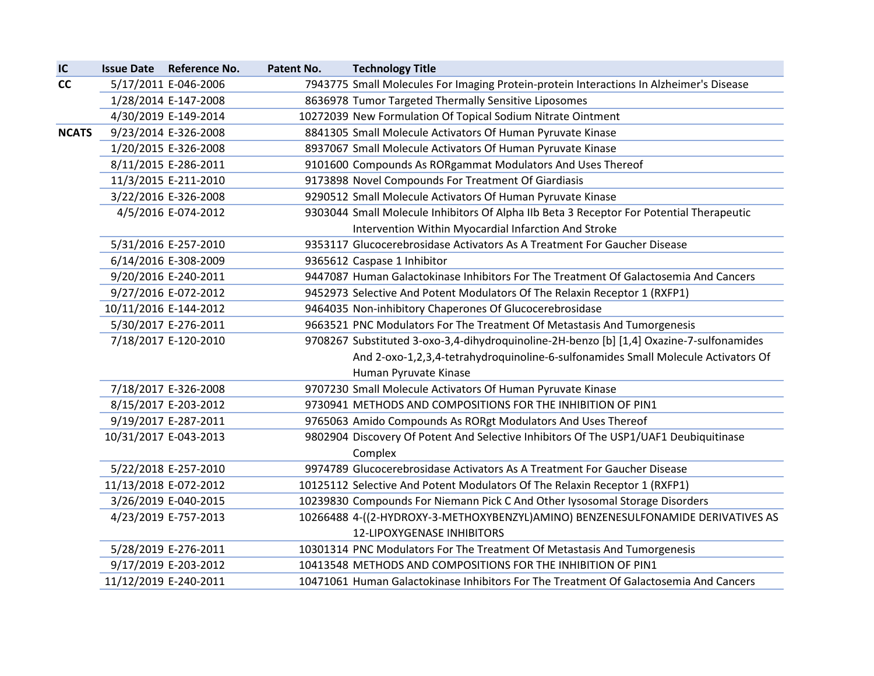| IC           |                       | Issue Date Reference No. | Patent No. | <b>Technology Title</b>                                                                  |
|--------------|-----------------------|--------------------------|------------|------------------------------------------------------------------------------------------|
| cc           |                       | 5/17/2011 E-046-2006     |            | 7943775 Small Molecules For Imaging Protein-protein Interactions In Alzheimer's Disease  |
|              |                       | 1/28/2014 E-147-2008     |            | 8636978 Tumor Targeted Thermally Sensitive Liposomes                                     |
|              |                       | 4/30/2019 E-149-2014     |            | 10272039 New Formulation Of Topical Sodium Nitrate Ointment                              |
| <b>NCATS</b> |                       | 9/23/2014 E-326-2008     |            | 8841305 Small Molecule Activators Of Human Pyruvate Kinase                               |
|              |                       | 1/20/2015 E-326-2008     |            | 8937067 Small Molecule Activators Of Human Pyruvate Kinase                               |
|              |                       | 8/11/2015 E-286-2011     |            | 9101600 Compounds As RORgammat Modulators And Uses Thereof                               |
|              |                       | 11/3/2015 E-211-2010     |            | 9173898 Novel Compounds For Treatment Of Giardiasis                                      |
|              |                       | 3/22/2016 E-326-2008     |            | 9290512 Small Molecule Activators Of Human Pyruvate Kinase                               |
|              |                       | 4/5/2016 E-074-2012      |            | 9303044 Small Molecule Inhibitors Of Alpha IIb Beta 3 Receptor For Potential Therapeutic |
|              |                       |                          |            | Intervention Within Myocardial Infarction And Stroke                                     |
|              |                       | 5/31/2016 E-257-2010     |            | 9353117 Glucocerebrosidase Activators As A Treatment For Gaucher Disease                 |
|              |                       | 6/14/2016 E-308-2009     |            | 9365612 Caspase 1 Inhibitor                                                              |
|              |                       | 9/20/2016 E-240-2011     |            | 9447087 Human Galactokinase Inhibitors For The Treatment Of Galactosemia And Cancers     |
|              |                       | 9/27/2016 E-072-2012     |            | 9452973 Selective And Potent Modulators Of The Relaxin Receptor 1 (RXFP1)                |
|              | 10/11/2016 E-144-2012 |                          |            | 9464035 Non-inhibitory Chaperones Of Glucocerebrosidase                                  |
|              |                       | 5/30/2017 E-276-2011     |            | 9663521 PNC Modulators For The Treatment Of Metastasis And Tumorgenesis                  |
|              |                       | 7/18/2017 E-120-2010     |            | 9708267 Substituted 3-oxo-3,4-dihydroquinoline-2H-benzo [b] [1,4] Oxazine-7-sulfonamides |
|              |                       |                          |            | And 2-oxo-1,2,3,4-tetrahydroquinoline-6-sulfonamides Small Molecule Activators Of        |
|              |                       |                          |            | Human Pyruvate Kinase                                                                    |
|              |                       | 7/18/2017 E-326-2008     |            | 9707230 Small Molecule Activators Of Human Pyruvate Kinase                               |
|              |                       | 8/15/2017 E-203-2012     |            | 9730941 METHODS AND COMPOSITIONS FOR THE INHIBITION OF PIN1                              |
|              |                       | 9/19/2017 E-287-2011     |            | 9765063 Amido Compounds As RORgt Modulators And Uses Thereof                             |
|              | 10/31/2017 E-043-2013 |                          |            | 9802904 Discovery Of Potent And Selective Inhibitors Of The USP1/UAF1 Deubiquitinase     |
|              |                       |                          |            | Complex                                                                                  |
|              |                       | 5/22/2018 E-257-2010     |            | 9974789 Glucocerebrosidase Activators As A Treatment For Gaucher Disease                 |
|              | 11/13/2018 E-072-2012 |                          |            | 10125112 Selective And Potent Modulators Of The Relaxin Receptor 1 (RXFP1)               |
|              |                       | 3/26/2019 E-040-2015     |            | 10239830 Compounds For Niemann Pick C And Other Iysosomal Storage Disorders              |
|              |                       | 4/23/2019 E-757-2013     |            | 10266488 4-((2-HYDROXY-3-METHOXYBENZYL)AMINO) BENZENESULFONAMIDE DERIVATIVES AS          |
|              |                       |                          |            | <b>12-LIPOXYGENASE INHIBITORS</b>                                                        |
|              |                       | 5/28/2019 E-276-2011     |            | 10301314 PNC Modulators For The Treatment Of Metastasis And Tumorgenesis                 |
|              |                       | 9/17/2019 E-203-2012     |            | 10413548 METHODS AND COMPOSITIONS FOR THE INHIBITION OF PIN1                             |
|              | 11/12/2019 E-240-2011 |                          |            | 10471061 Human Galactokinase Inhibitors For The Treatment Of Galactosemia And Cancers    |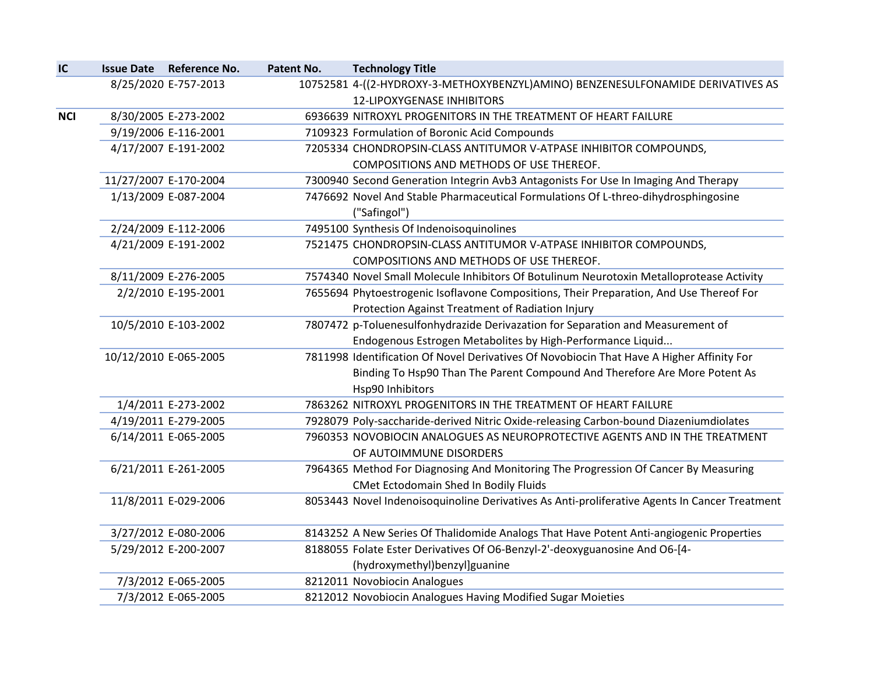|  | Patent No.                                                                                                                                                                                                                                                                                                                                                                                                                                                                                                                                     | <b>Technology Title</b>                                                                       |
|--|------------------------------------------------------------------------------------------------------------------------------------------------------------------------------------------------------------------------------------------------------------------------------------------------------------------------------------------------------------------------------------------------------------------------------------------------------------------------------------------------------------------------------------------------|-----------------------------------------------------------------------------------------------|
|  |                                                                                                                                                                                                                                                                                                                                                                                                                                                                                                                                                | 10752581 4-((2-HYDROXY-3-METHOXYBENZYL)AMINO) BENZENESULFONAMIDE DERIVATIVES AS               |
|  |                                                                                                                                                                                                                                                                                                                                                                                                                                                                                                                                                | <b>12-LIPOXYGENASE INHIBITORS</b>                                                             |
|  |                                                                                                                                                                                                                                                                                                                                                                                                                                                                                                                                                | 6936639 NITROXYL PROGENITORS IN THE TREATMENT OF HEART FAILURE                                |
|  |                                                                                                                                                                                                                                                                                                                                                                                                                                                                                                                                                | 7109323 Formulation of Boronic Acid Compounds                                                 |
|  |                                                                                                                                                                                                                                                                                                                                                                                                                                                                                                                                                | 7205334 CHONDROPSIN-CLASS ANTITUMOR V-ATPASE INHIBITOR COMPOUNDS,                             |
|  |                                                                                                                                                                                                                                                                                                                                                                                                                                                                                                                                                | COMPOSITIONS AND METHODS OF USE THEREOF.                                                      |
|  |                                                                                                                                                                                                                                                                                                                                                                                                                                                                                                                                                | 7300940 Second Generation Integrin Avb3 Antagonists For Use In Imaging And Therapy            |
|  |                                                                                                                                                                                                                                                                                                                                                                                                                                                                                                                                                | 7476692 Novel And Stable Pharmaceutical Formulations Of L-threo-dihydrosphingosine            |
|  |                                                                                                                                                                                                                                                                                                                                                                                                                                                                                                                                                | ("Safingol")                                                                                  |
|  |                                                                                                                                                                                                                                                                                                                                                                                                                                                                                                                                                | 7495100 Synthesis Of Indenoisoquinolines                                                      |
|  |                                                                                                                                                                                                                                                                                                                                                                                                                                                                                                                                                | 7521475 CHONDROPSIN-CLASS ANTITUMOR V-ATPASE INHIBITOR COMPOUNDS,                             |
|  |                                                                                                                                                                                                                                                                                                                                                                                                                                                                                                                                                | COMPOSITIONS AND METHODS OF USE THEREOF.                                                      |
|  |                                                                                                                                                                                                                                                                                                                                                                                                                                                                                                                                                | 7574340 Novel Small Molecule Inhibitors Of Botulinum Neurotoxin Metalloprotease Activity      |
|  |                                                                                                                                                                                                                                                                                                                                                                                                                                                                                                                                                | 7655694 Phytoestrogenic Isoflavone Compositions, Their Preparation, And Use Thereof For       |
|  |                                                                                                                                                                                                                                                                                                                                                                                                                                                                                                                                                | Protection Against Treatment of Radiation Injury                                              |
|  |                                                                                                                                                                                                                                                                                                                                                                                                                                                                                                                                                | 7807472 p-Toluenesulfonhydrazide Derivazation for Separation and Measurement of               |
|  |                                                                                                                                                                                                                                                                                                                                                                                                                                                                                                                                                | Endogenous Estrogen Metabolites by High-Performance Liquid                                    |
|  |                                                                                                                                                                                                                                                                                                                                                                                                                                                                                                                                                | 7811998 Identification Of Novel Derivatives Of Novobiocin That Have A Higher Affinity For     |
|  |                                                                                                                                                                                                                                                                                                                                                                                                                                                                                                                                                | Binding To Hsp90 Than The Parent Compound And Therefore Are More Potent As                    |
|  |                                                                                                                                                                                                                                                                                                                                                                                                                                                                                                                                                | Hsp90 Inhibitors                                                                              |
|  |                                                                                                                                                                                                                                                                                                                                                                                                                                                                                                                                                | 7863262 NITROXYL PROGENITORS IN THE TREATMENT OF HEART FAILURE                                |
|  |                                                                                                                                                                                                                                                                                                                                                                                                                                                                                                                                                | 7928079 Poly-saccharide-derived Nitric Oxide-releasing Carbon-bound Diazeniumdiolates         |
|  |                                                                                                                                                                                                                                                                                                                                                                                                                                                                                                                                                | 7960353 NOVOBIOCIN ANALOGUES AS NEUROPROTECTIVE AGENTS AND IN THE TREATMENT                   |
|  |                                                                                                                                                                                                                                                                                                                                                                                                                                                                                                                                                | OF AUTOIMMUNE DISORDERS                                                                       |
|  |                                                                                                                                                                                                                                                                                                                                                                                                                                                                                                                                                | 7964365 Method For Diagnosing And Monitoring The Progression Of Cancer By Measuring           |
|  |                                                                                                                                                                                                                                                                                                                                                                                                                                                                                                                                                | CMet Ectodomain Shed In Bodily Fluids                                                         |
|  |                                                                                                                                                                                                                                                                                                                                                                                                                                                                                                                                                | 8053443 Novel Indenoisoquinoline Derivatives As Anti-proliferative Agents In Cancer Treatment |
|  |                                                                                                                                                                                                                                                                                                                                                                                                                                                                                                                                                | 8143252 A New Series Of Thalidomide Analogs That Have Potent Anti-angiogenic Properties       |
|  |                                                                                                                                                                                                                                                                                                                                                                                                                                                                                                                                                | 8188055 Folate Ester Derivatives Of O6-Benzyl-2'-deoxyguanosine And O6-[4-                    |
|  |                                                                                                                                                                                                                                                                                                                                                                                                                                                                                                                                                | (hydroxymethyl)benzyl]guanine                                                                 |
|  |                                                                                                                                                                                                                                                                                                                                                                                                                                                                                                                                                | 8212011 Novobiocin Analogues                                                                  |
|  |                                                                                                                                                                                                                                                                                                                                                                                                                                                                                                                                                | 8212012 Novobiocin Analogues Having Modified Sugar Moieties                                   |
|  | Issue Date Reference No.<br>8/25/2020 E-757-2013<br>8/30/2005 E-273-2002<br>9/19/2006 E-116-2001<br>4/17/2007 E-191-2002<br>11/27/2007 E-170-2004<br>1/13/2009 E-087-2004<br>2/24/2009 E-112-2006<br>4/21/2009 E-191-2002<br>8/11/2009 E-276-2005<br>2/2/2010 E-195-2001<br>10/5/2010 E-103-2002<br>10/12/2010 E-065-2005<br>1/4/2011 E-273-2002<br>4/19/2011 E-279-2005<br>6/14/2011 E-065-2005<br>6/21/2011 E-261-2005<br>11/8/2011 E-029-2006<br>3/27/2012 E-080-2006<br>5/29/2012 E-200-2007<br>7/3/2012 E-065-2005<br>7/3/2012 E-065-2005 |                                                                                               |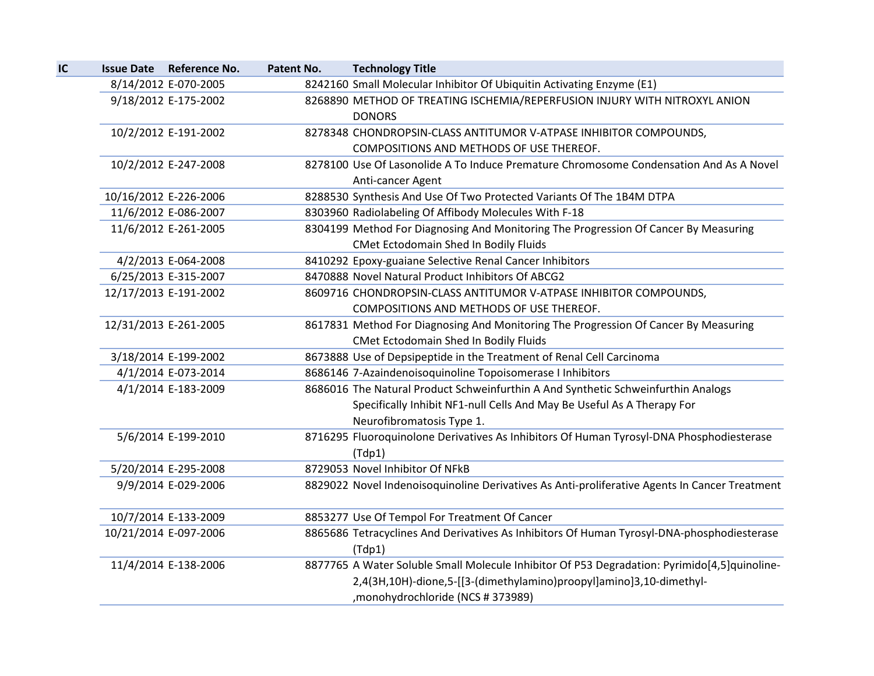|                       | Issue Date Reference No. | Patent No. | <b>Technology Title</b>                                                                                                                                                                                   |
|-----------------------|--------------------------|------------|-----------------------------------------------------------------------------------------------------------------------------------------------------------------------------------------------------------|
|                       | 8/14/2012 E-070-2005     |            | 8242160 Small Molecular Inhibitor Of Ubiquitin Activating Enzyme (E1)                                                                                                                                     |
|                       | 9/18/2012 E-175-2002     |            | 8268890 METHOD OF TREATING ISCHEMIA/REPERFUSION INJURY WITH NITROXYL ANION<br><b>DONORS</b>                                                                                                               |
|                       | 10/2/2012 E-191-2002     |            | 8278348 CHONDROPSIN-CLASS ANTITUMOR V-ATPASE INHIBITOR COMPOUNDS,<br>COMPOSITIONS AND METHODS OF USE THEREOF.                                                                                             |
|                       | 10/2/2012 E-247-2008     |            | 8278100 Use Of Lasonolide A To Induce Premature Chromosome Condensation And As A Novel<br>Anti-cancer Agent                                                                                               |
| 10/16/2012 E-226-2006 |                          |            | 8288530 Synthesis And Use Of Two Protected Variants Of The 1B4M DTPA                                                                                                                                      |
|                       | 11/6/2012 E-086-2007     |            | 8303960 Radiolabeling Of Affibody Molecules With F-18                                                                                                                                                     |
|                       | 11/6/2012 E-261-2005     |            | 8304199 Method For Diagnosing And Monitoring The Progression Of Cancer By Measuring<br>CMet Ectodomain Shed In Bodily Fluids                                                                              |
|                       | 4/2/2013 E-064-2008      |            | 8410292 Epoxy-guaiane Selective Renal Cancer Inhibitors                                                                                                                                                   |
|                       | 6/25/2013 E-315-2007     |            | 8470888 Novel Natural Product Inhibitors Of ABCG2                                                                                                                                                         |
| 12/17/2013 E-191-2002 |                          |            | 8609716 CHONDROPSIN-CLASS ANTITUMOR V-ATPASE INHIBITOR COMPOUNDS,<br>COMPOSITIONS AND METHODS OF USE THEREOF.                                                                                             |
| 12/31/2013 E-261-2005 |                          |            | 8617831 Method For Diagnosing And Monitoring The Progression Of Cancer By Measuring<br><b>CMet Ectodomain Shed In Bodily Fluids</b>                                                                       |
|                       | 3/18/2014 E-199-2002     |            | 8673888 Use of Depsipeptide in the Treatment of Renal Cell Carcinoma                                                                                                                                      |
|                       | 4/1/2014 E-073-2014      |            | 8686146 7-Azaindenoisoquinoline Topoisomerase I Inhibitors                                                                                                                                                |
|                       | 4/1/2014 E-183-2009      |            | 8686016 The Natural Product Schweinfurthin A And Synthetic Schweinfurthin Analogs<br>Specifically Inhibit NF1-null Cells And May Be Useful As A Therapy For<br>Neurofibromatosis Type 1.                  |
|                       | 5/6/2014 E-199-2010      |            | 8716295 Fluoroquinolone Derivatives As Inhibitors Of Human Tyrosyl-DNA Phosphodiesterase<br>(Tdp1)                                                                                                        |
|                       | 5/20/2014 E-295-2008     |            | 8729053 Novel Inhibitor Of NFkB                                                                                                                                                                           |
|                       | 9/9/2014 E-029-2006      |            | 8829022 Novel Indenoisoquinoline Derivatives As Anti-proliferative Agents In Cancer Treatment                                                                                                             |
|                       | 10/7/2014 E-133-2009     |            | 8853277 Use Of Tempol For Treatment Of Cancer                                                                                                                                                             |
| 10/21/2014 E-097-2006 |                          |            | 8865686 Tetracyclines And Derivatives As Inhibitors Of Human Tyrosyl-DNA-phosphodiesterase<br>(Tdp1)                                                                                                      |
|                       | 11/4/2014 E-138-2006     |            | 8877765 A Water Soluble Small Molecule Inhibitor Of P53 Degradation: Pyrimido[4,5]quinoline-<br>2,4(3H,10H)-dione,5-[[3-(dimethylamino)proopyl]amino]3,10-dimethyl-<br>, monohydrochloride (NCS # 373989) |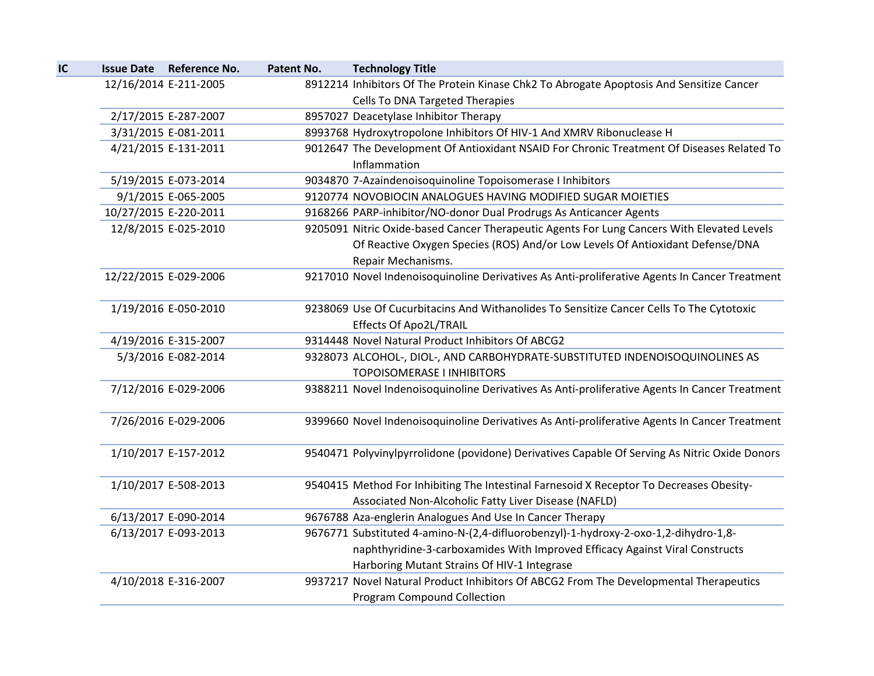| IC | <b>Issue Date Reference No.</b> | Patent No. | <b>Technology Title</b>                                                                       |
|----|---------------------------------|------------|-----------------------------------------------------------------------------------------------|
|    | 12/16/2014 E-211-2005           |            | 8912214 Inhibitors Of The Protein Kinase Chk2 To Abrogate Apoptosis And Sensitize Cancer      |
|    |                                 |            | Cells To DNA Targeted Therapies                                                               |
|    | 2/17/2015 E-287-2007            |            | 8957027 Deacetylase Inhibitor Therapy                                                         |
|    | 3/31/2015 E-081-2011            |            | 8993768 Hydroxytropolone Inhibitors Of HIV-1 And XMRV Ribonuclease H                          |
|    | 4/21/2015 E-131-2011            |            | 9012647 The Development Of Antioxidant NSAID For Chronic Treatment Of Diseases Related To     |
|    |                                 |            | Inflammation                                                                                  |
|    | 5/19/2015 E-073-2014            |            | 9034870 7-Azaindenoisoquinoline Topoisomerase I Inhibitors                                    |
|    | 9/1/2015 E-065-2005             |            | 9120774 NOVOBIOCIN ANALOGUES HAVING MODIFIED SUGAR MOIETIES                                   |
|    | 10/27/2015 E-220-2011           |            | 9168266 PARP-inhibitor/NO-donor Dual Prodrugs As Anticancer Agents                            |
|    | 12/8/2015 E-025-2010            |            | 9205091 Nitric Oxide-based Cancer Therapeutic Agents For Lung Cancers With Elevated Levels    |
|    |                                 |            | Of Reactive Oxygen Species (ROS) And/or Low Levels Of Antioxidant Defense/DNA                 |
|    |                                 |            | Repair Mechanisms.                                                                            |
|    | 12/22/2015 E-029-2006           |            | 9217010 Novel Indenoisoquinoline Derivatives As Anti-proliferative Agents In Cancer Treatment |
|    |                                 |            |                                                                                               |
|    | 1/19/2016 E-050-2010            |            | 9238069 Use Of Cucurbitacins And Withanolides To Sensitize Cancer Cells To The Cytotoxic      |
|    |                                 |            | <b>Effects Of Apo2L/TRAIL</b>                                                                 |
|    | 4/19/2016 E-315-2007            |            | 9314448 Novel Natural Product Inhibitors Of ABCG2                                             |
|    | 5/3/2016 E-082-2014             |            | 9328073 ALCOHOL-, DIOL-, AND CARBOHYDRATE-SUBSTITUTED INDENOISOQUINOLINES AS                  |
|    |                                 |            | <b>TOPOISOMERASE I INHIBITORS</b>                                                             |
|    | 7/12/2016 E-029-2006            |            | 9388211 Novel Indenoisoquinoline Derivatives As Anti-proliferative Agents In Cancer Treatment |
|    |                                 |            |                                                                                               |
|    | 7/26/2016 E-029-2006            |            | 9399660 Novel Indenoisoquinoline Derivatives As Anti-proliferative Agents In Cancer Treatment |
|    |                                 |            |                                                                                               |
|    | 1/10/2017 E-157-2012            |            | 9540471 Polyvinylpyrrolidone (povidone) Derivatives Capable Of Serving As Nitric Oxide Donors |
|    |                                 |            |                                                                                               |
|    | 1/10/2017 E-508-2013            |            | 9540415 Method For Inhibiting The Intestinal Farnesoid X Receptor To Decreases Obesity-       |
|    |                                 |            | Associated Non-Alcoholic Fatty Liver Disease (NAFLD)                                          |
|    | 6/13/2017 E-090-2014            |            | 9676788 Aza-englerin Analogues And Use In Cancer Therapy                                      |
|    | 6/13/2017 E-093-2013            |            | 9676771 Substituted 4-amino-N-(2,4-difluorobenzyl)-1-hydroxy-2-oxo-1,2-dihydro-1,8-           |
|    |                                 |            | naphthyridine-3-carboxamides With Improved Efficacy Against Viral Constructs                  |
|    |                                 |            | Harboring Mutant Strains Of HIV-1 Integrase                                                   |
|    | 4/10/2018 E-316-2007            |            | 9937217 Novel Natural Product Inhibitors Of ABCG2 From The Developmental Therapeutics         |
|    |                                 |            | <b>Program Compound Collection</b>                                                            |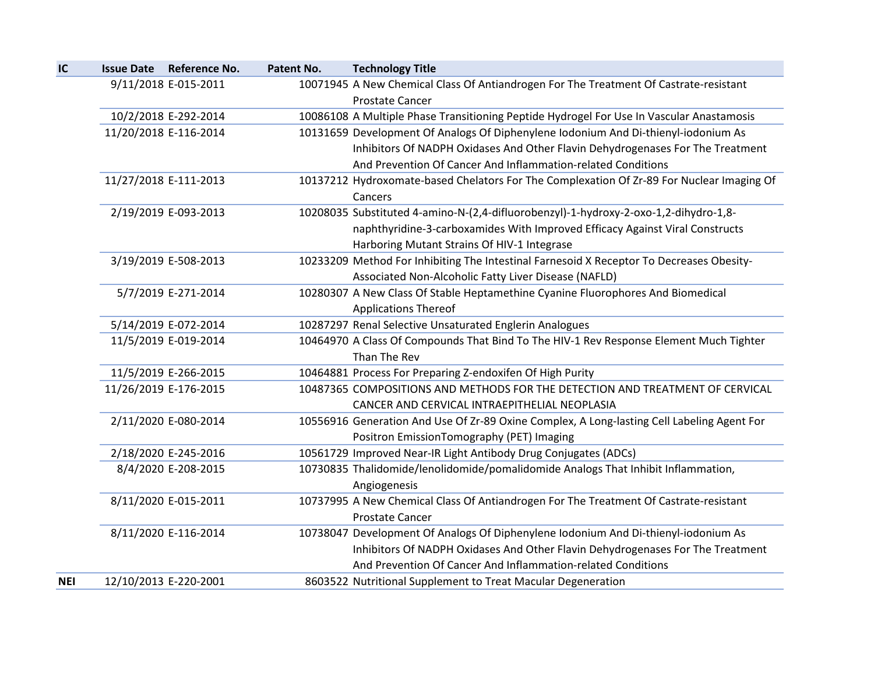| IC         | Issue Date Reference No. | Patent No. | <b>Technology Title</b>                                                                                         |
|------------|--------------------------|------------|-----------------------------------------------------------------------------------------------------------------|
|            | 9/11/2018 E-015-2011     |            | 10071945 A New Chemical Class Of Antiandrogen For The Treatment Of Castrate-resistant<br><b>Prostate Cancer</b> |
|            | 10/2/2018 E-292-2014     |            | 10086108 A Multiple Phase Transitioning Peptide Hydrogel For Use In Vascular Anastamosis                        |
|            | 11/20/2018 E-116-2014    |            | 10131659 Development Of Analogs Of Diphenylene Iodonium And Di-thienyl-iodonium As                              |
|            |                          |            | Inhibitors Of NADPH Oxidases And Other Flavin Dehydrogenases For The Treatment                                  |
|            |                          |            | And Prevention Of Cancer And Inflammation-related Conditions                                                    |
|            | 11/27/2018 E-111-2013    |            | 10137212 Hydroxomate-based Chelators For The Complexation Of Zr-89 For Nuclear Imaging Of                       |
|            |                          |            | Cancers                                                                                                         |
|            | 2/19/2019 E-093-2013     |            | 10208035 Substituted 4-amino-N-(2,4-difluorobenzyl)-1-hydroxy-2-oxo-1,2-dihydro-1,8-                            |
|            |                          |            | naphthyridine-3-carboxamides With Improved Efficacy Against Viral Constructs                                    |
|            |                          |            | Harboring Mutant Strains Of HIV-1 Integrase                                                                     |
|            | 3/19/2019 E-508-2013     |            | 10233209 Method For Inhibiting The Intestinal Farnesoid X Receptor To Decreases Obesity-                        |
|            |                          |            | Associated Non-Alcoholic Fatty Liver Disease (NAFLD)                                                            |
|            | 5/7/2019 E-271-2014      |            | 10280307 A New Class Of Stable Heptamethine Cyanine Fluorophores And Biomedical                                 |
|            |                          |            | <b>Applications Thereof</b>                                                                                     |
|            | 5/14/2019 E-072-2014     |            | 10287297 Renal Selective Unsaturated Englerin Analogues                                                         |
|            | 11/5/2019 E-019-2014     |            | 10464970 A Class Of Compounds That Bind To The HIV-1 Rev Response Element Much Tighter                          |
|            |                          |            | Than The Rev                                                                                                    |
|            | 11/5/2019 E-266-2015     |            | 10464881 Process For Preparing Z-endoxifen Of High Purity                                                       |
|            | 11/26/2019 E-176-2015    |            | 10487365 COMPOSITIONS AND METHODS FOR THE DETECTION AND TREATMENT OF CERVICAL                                   |
|            |                          |            | CANCER AND CERVICAL INTRAEPITHELIAL NEOPLASIA                                                                   |
|            | 2/11/2020 E-080-2014     |            | 10556916 Generation And Use Of Zr-89 Oxine Complex, A Long-lasting Cell Labeling Agent For                      |
|            |                          |            | Positron EmissionTomography (PET) Imaging                                                                       |
|            | 2/18/2020 E-245-2016     |            | 10561729 Improved Near-IR Light Antibody Drug Conjugates (ADCs)                                                 |
|            | 8/4/2020 E-208-2015      |            | 10730835 Thalidomide/lenolidomide/pomalidomide Analogs That Inhibit Inflammation,                               |
|            |                          |            | Angiogenesis                                                                                                    |
|            | 8/11/2020 E-015-2011     |            | 10737995 A New Chemical Class Of Antiandrogen For The Treatment Of Castrate-resistant                           |
|            |                          |            | <b>Prostate Cancer</b>                                                                                          |
|            | 8/11/2020 E-116-2014     |            | 10738047 Development Of Analogs Of Diphenylene Iodonium And Di-thienyl-iodonium As                              |
|            |                          |            | Inhibitors Of NADPH Oxidases And Other Flavin Dehydrogenases For The Treatment                                  |
|            |                          |            | And Prevention Of Cancer And Inflammation-related Conditions                                                    |
| <b>NEI</b> | 12/10/2013 E-220-2001    |            | 8603522 Nutritional Supplement to Treat Macular Degeneration                                                    |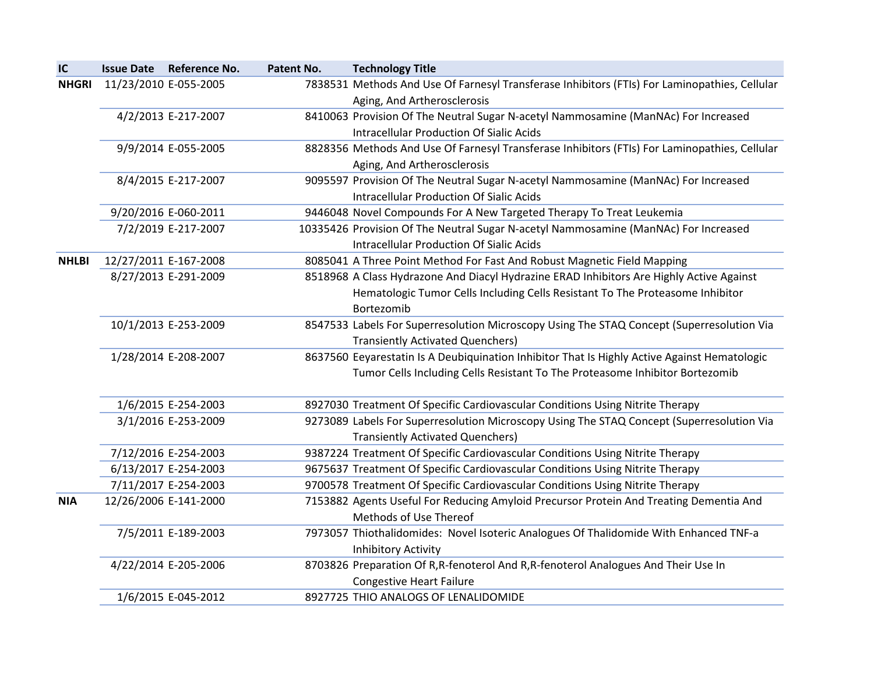| IC           | <b>Issue Date</b>     | <b>Reference No.</b>  | Patent No. | <b>Technology Title</b>                                                                       |
|--------------|-----------------------|-----------------------|------------|-----------------------------------------------------------------------------------------------|
| <b>NHGRI</b> | 11/23/2010 E-055-2005 |                       |            | 7838531 Methods And Use Of Farnesyl Transferase Inhibitors (FTIs) For Laminopathies, Cellular |
|              |                       |                       |            | Aging, And Artherosclerosis                                                                   |
|              |                       | 4/2/2013 E-217-2007   |            | 8410063 Provision Of The Neutral Sugar N-acetyl Nammosamine (ManNAc) For Increased            |
|              |                       |                       |            | <b>Intracellular Production Of Sialic Acids</b>                                               |
|              |                       | 9/9/2014 E-055-2005   |            | 8828356 Methods And Use Of Farnesyl Transferase Inhibitors (FTIs) For Laminopathies, Cellular |
|              |                       |                       |            | Aging, And Artherosclerosis                                                                   |
|              |                       | 8/4/2015 E-217-2007   |            | 9095597 Provision Of The Neutral Sugar N-acetyl Nammosamine (ManNAc) For Increased            |
|              |                       |                       |            | <b>Intracellular Production Of Sialic Acids</b>                                               |
|              |                       | 9/20/2016 E-060-2011  |            | 9446048 Novel Compounds For A New Targeted Therapy To Treat Leukemia                          |
|              |                       | 7/2/2019 E-217-2007   |            | 10335426 Provision Of The Neutral Sugar N-acetyl Nammosamine (ManNAc) For Increased           |
|              |                       |                       |            | <b>Intracellular Production Of Sialic Acids</b>                                               |
| <b>NHLBI</b> |                       | 12/27/2011 E-167-2008 |            | 8085041 A Three Point Method For Fast And Robust Magnetic Field Mapping                       |
|              |                       | 8/27/2013 E-291-2009  |            | 8518968 A Class Hydrazone And Diacyl Hydrazine ERAD Inhibitors Are Highly Active Against      |
|              |                       |                       |            | Hematologic Tumor Cells Including Cells Resistant To The Proteasome Inhibitor                 |
|              |                       |                       |            | Bortezomib                                                                                    |
|              |                       | 10/1/2013 E-253-2009  |            | 8547533 Labels For Superresolution Microscopy Using The STAQ Concept (Superresolution Via     |
|              |                       |                       |            | <b>Transiently Activated Quenchers)</b>                                                       |
|              |                       | 1/28/2014 E-208-2007  |            | 8637560 Eeyarestatin Is A Deubiquination Inhibitor That Is Highly Active Against Hematologic  |
|              |                       |                       |            | Tumor Cells Including Cells Resistant To The Proteasome Inhibitor Bortezomib                  |
|              |                       | 1/6/2015 E-254-2003   |            | 8927030 Treatment Of Specific Cardiovascular Conditions Using Nitrite Therapy                 |
|              |                       | 3/1/2016 E-253-2009   |            | 9273089 Labels For Superresolution Microscopy Using The STAQ Concept (Superresolution Via     |
|              |                       |                       |            | <b>Transiently Activated Quenchers)</b>                                                       |
|              |                       | 7/12/2016 E-254-2003  |            | 9387224 Treatment Of Specific Cardiovascular Conditions Using Nitrite Therapy                 |
|              |                       | 6/13/2017 E-254-2003  |            | 9675637 Treatment Of Specific Cardiovascular Conditions Using Nitrite Therapy                 |
|              |                       | 7/11/2017 E-254-2003  |            | 9700578 Treatment Of Specific Cardiovascular Conditions Using Nitrite Therapy                 |
| <b>NIA</b>   |                       | 12/26/2006 E-141-2000 |            | 7153882 Agents Useful For Reducing Amyloid Precursor Protein And Treating Dementia And        |
|              |                       |                       |            | Methods of Use Thereof                                                                        |
|              |                       | 7/5/2011 E-189-2003   |            | 7973057 Thiothalidomides: Novel Isoteric Analogues Of Thalidomide With Enhanced TNF-a         |
|              |                       |                       |            | <b>Inhibitory Activity</b>                                                                    |
|              |                       | 4/22/2014 E-205-2006  |            | 8703826 Preparation Of R, R-fenoterol And R, R-fenoterol Analogues And Their Use In           |
|              |                       |                       |            | <b>Congestive Heart Failure</b>                                                               |
|              |                       | 1/6/2015 E-045-2012   |            | 8927725 THIO ANALOGS OF LENALIDOMIDE                                                          |
|              |                       |                       |            |                                                                                               |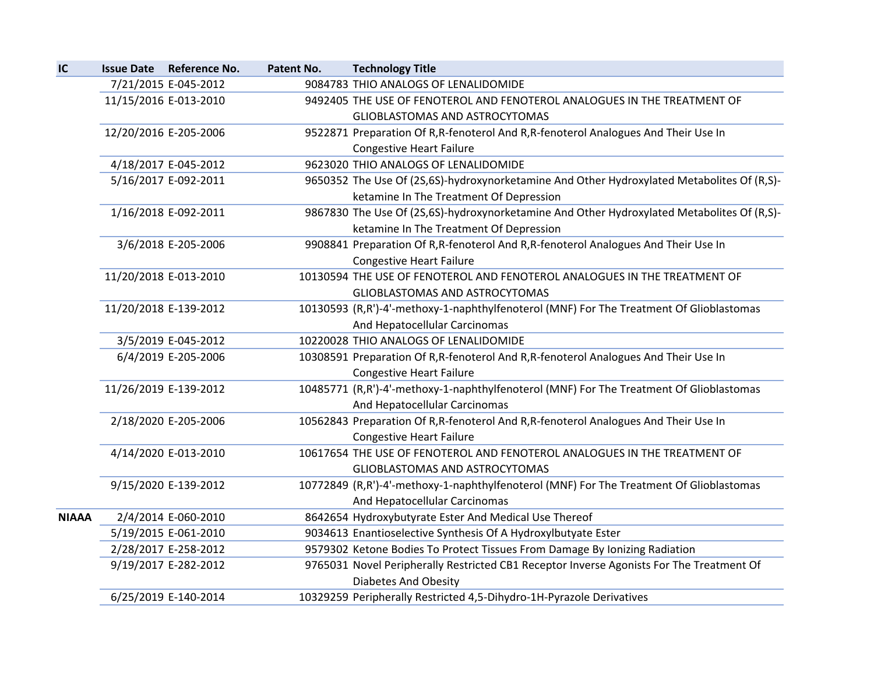| IC           | <b>Issue Date Reference No.</b> | Patent No. | <b>Technology Title</b>                                                                    |
|--------------|---------------------------------|------------|--------------------------------------------------------------------------------------------|
|              | 7/21/2015 E-045-2012            |            | 9084783 THIO ANALOGS OF LENALIDOMIDE                                                       |
|              | 11/15/2016 E-013-2010           |            | 9492405 THE USE OF FENOTEROL AND FENOTEROL ANALOGUES IN THE TREATMENT OF                   |
|              |                                 |            | GLIOBLASTOMAS AND ASTROCYTOMAS                                                             |
|              | 12/20/2016 E-205-2006           |            | 9522871 Preparation Of R, R-fenoterol And R, R-fenoterol Analogues And Their Use In        |
|              |                                 |            | <b>Congestive Heart Failure</b>                                                            |
|              | 4/18/2017 E-045-2012            |            | 9623020 THIO ANALOGS OF LENALIDOMIDE                                                       |
|              | 5/16/2017 E-092-2011            |            | 9650352 The Use Of (2S,6S)-hydroxynorketamine And Other Hydroxylated Metabolites Of (R,S)- |
|              |                                 |            | ketamine In The Treatment Of Depression                                                    |
|              | 1/16/2018 E-092-2011            |            | 9867830 The Use Of (2S,6S)-hydroxynorketamine And Other Hydroxylated Metabolites Of (R,S)- |
|              |                                 |            | ketamine In The Treatment Of Depression                                                    |
|              | 3/6/2018 E-205-2006             |            | 9908841 Preparation Of R, R-fenoterol And R, R-fenoterol Analogues And Their Use In        |
|              |                                 |            | <b>Congestive Heart Failure</b>                                                            |
|              | 11/20/2018 E-013-2010           |            | 10130594 THE USE OF FENOTEROL AND FENOTEROL ANALOGUES IN THE TREATMENT OF                  |
|              |                                 |            | GLIOBLASTOMAS AND ASTROCYTOMAS                                                             |
|              | 11/20/2018 E-139-2012           |            | 10130593 (R,R')-4'-methoxy-1-naphthylfenoterol (MNF) For The Treatment Of Glioblastomas    |
|              |                                 |            | And Hepatocellular Carcinomas                                                              |
|              | 3/5/2019 E-045-2012             |            | 10220028 THIO ANALOGS OF LENALIDOMIDE                                                      |
|              | 6/4/2019 E-205-2006             |            | 10308591 Preparation Of R, R-fenoterol And R, R-fenoterol Analogues And Their Use In       |
|              |                                 |            | <b>Congestive Heart Failure</b>                                                            |
|              | 11/26/2019 E-139-2012           |            | 10485771 (R,R')-4'-methoxy-1-naphthylfenoterol (MNF) For The Treatment Of Glioblastomas    |
|              |                                 |            | And Hepatocellular Carcinomas                                                              |
|              | 2/18/2020 E-205-2006            |            | 10562843 Preparation Of R, R-fenoterol And R, R-fenoterol Analogues And Their Use In       |
|              |                                 |            | <b>Congestive Heart Failure</b>                                                            |
|              | 4/14/2020 E-013-2010            |            | 10617654 THE USE OF FENOTEROL AND FENOTEROL ANALOGUES IN THE TREATMENT OF                  |
|              |                                 |            | GLIOBLASTOMAS AND ASTROCYTOMAS                                                             |
|              | 9/15/2020 E-139-2012            |            | 10772849 (R,R')-4'-methoxy-1-naphthylfenoterol (MNF) For The Treatment Of Glioblastomas    |
|              |                                 |            | And Hepatocellular Carcinomas                                                              |
| <b>NIAAA</b> | 2/4/2014 E-060-2010             |            | 8642654 Hydroxybutyrate Ester And Medical Use Thereof                                      |
|              | 5/19/2015 E-061-2010            |            | 9034613 Enantioselective Synthesis Of A Hydroxylbutyate Ester                              |
|              | 2/28/2017 E-258-2012            |            | 9579302 Ketone Bodies To Protect Tissues From Damage By Ionizing Radiation                 |
|              | 9/19/2017 E-282-2012            |            | 9765031 Novel Peripherally Restricted CB1 Receptor Inverse Agonists For The Treatment Of   |
|              |                                 |            | <b>Diabetes And Obesity</b>                                                                |
|              | 6/25/2019 E-140-2014            |            | 10329259 Peripherally Restricted 4,5-Dihydro-1H-Pyrazole Derivatives                       |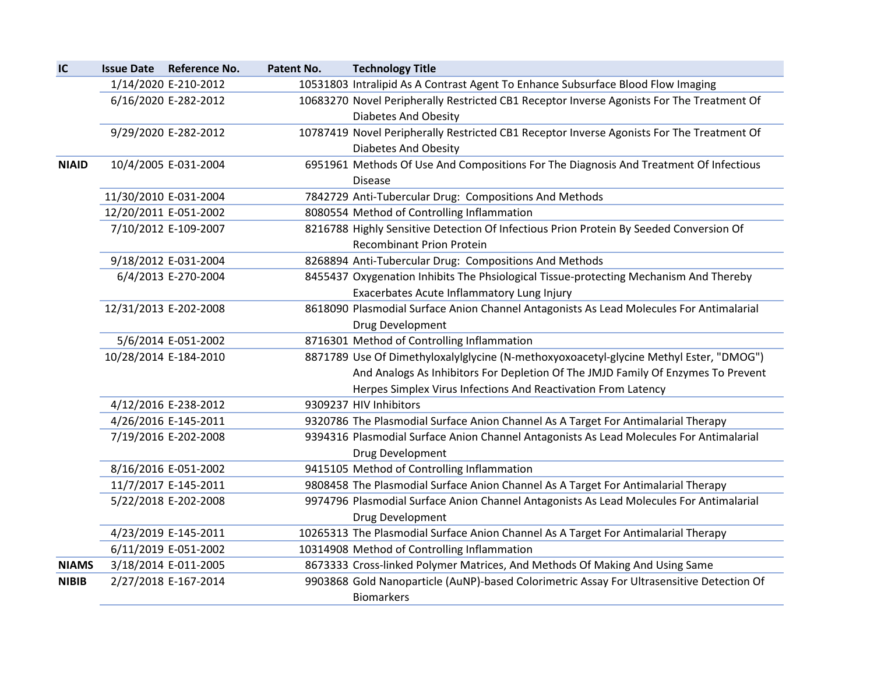| IC           | <b>Issue Date Reference No.</b> | Patent No. | <b>Technology Title</b>                                                                   |
|--------------|---------------------------------|------------|-------------------------------------------------------------------------------------------|
|              | 1/14/2020 E-210-2012            |            | 10531803 Intralipid As A Contrast Agent To Enhance Subsurface Blood Flow Imaging          |
|              | 6/16/2020 E-282-2012            |            | 10683270 Novel Peripherally Restricted CB1 Receptor Inverse Agonists For The Treatment Of |
|              |                                 |            | <b>Diabetes And Obesity</b>                                                               |
|              | 9/29/2020 E-282-2012            |            | 10787419 Novel Peripherally Restricted CB1 Receptor Inverse Agonists For The Treatment Of |
|              |                                 |            | <b>Diabetes And Obesity</b>                                                               |
| <b>NIAID</b> | 10/4/2005 E-031-2004            |            | 6951961 Methods Of Use And Compositions For The Diagnosis And Treatment Of Infectious     |
|              |                                 |            | <b>Disease</b>                                                                            |
|              | 11/30/2010 E-031-2004           |            | 7842729 Anti-Tubercular Drug: Compositions And Methods                                    |
|              | 12/20/2011 E-051-2002           |            | 8080554 Method of Controlling Inflammation                                                |
|              | 7/10/2012 E-109-2007            |            | 8216788 Highly Sensitive Detection Of Infectious Prion Protein By Seeded Conversion Of    |
|              |                                 |            | <b>Recombinant Prion Protein</b>                                                          |
|              | 9/18/2012 E-031-2004            |            | 8268894 Anti-Tubercular Drug: Compositions And Methods                                    |
|              | 6/4/2013 E-270-2004             |            | 8455437 Oxygenation Inhibits The Phsiological Tissue-protecting Mechanism And Thereby     |
|              |                                 |            | Exacerbates Acute Inflammatory Lung Injury                                                |
|              | 12/31/2013 E-202-2008           |            | 8618090 Plasmodial Surface Anion Channel Antagonists As Lead Molecules For Antimalarial   |
|              |                                 |            | Drug Development                                                                          |
|              | 5/6/2014 E-051-2002             |            | 8716301 Method of Controlling Inflammation                                                |
|              | 10/28/2014 E-184-2010           |            | 8871789 Use Of Dimethyloxalylglycine (N-methoxyoxoacetyl-glycine Methyl Ester, "DMOG")    |
|              |                                 |            | And Analogs As Inhibitors For Depletion Of The JMJD Family Of Enzymes To Prevent          |
|              |                                 |            | Herpes Simplex Virus Infections And Reactivation From Latency                             |
|              | 4/12/2016 E-238-2012            |            | 9309237 HIV Inhibitors                                                                    |
|              | 4/26/2016 E-145-2011            |            | 9320786 The Plasmodial Surface Anion Channel As A Target For Antimalarial Therapy         |
|              | 7/19/2016 E-202-2008            |            | 9394316 Plasmodial Surface Anion Channel Antagonists As Lead Molecules For Antimalarial   |
|              |                                 |            | Drug Development                                                                          |
|              | 8/16/2016 E-051-2002            |            | 9415105 Method of Controlling Inflammation                                                |
|              | 11/7/2017 E-145-2011            |            | 9808458 The Plasmodial Surface Anion Channel As A Target For Antimalarial Therapy         |
|              | 5/22/2018 E-202-2008            |            | 9974796 Plasmodial Surface Anion Channel Antagonists As Lead Molecules For Antimalarial   |
|              |                                 |            | Drug Development                                                                          |
|              | 4/23/2019 E-145-2011            |            | 10265313 The Plasmodial Surface Anion Channel As A Target For Antimalarial Therapy        |
|              | 6/11/2019 E-051-2002            |            | 10314908 Method of Controlling Inflammation                                               |
| <b>NIAMS</b> | 3/18/2014 E-011-2005            |            | 8673333 Cross-linked Polymer Matrices, And Methods Of Making And Using Same               |
| <b>NIBIB</b> | 2/27/2018 E-167-2014            |            | 9903868 Gold Nanoparticle (AuNP)-based Colorimetric Assay For Ultrasensitive Detection Of |
|              |                                 |            | <b>Biomarkers</b>                                                                         |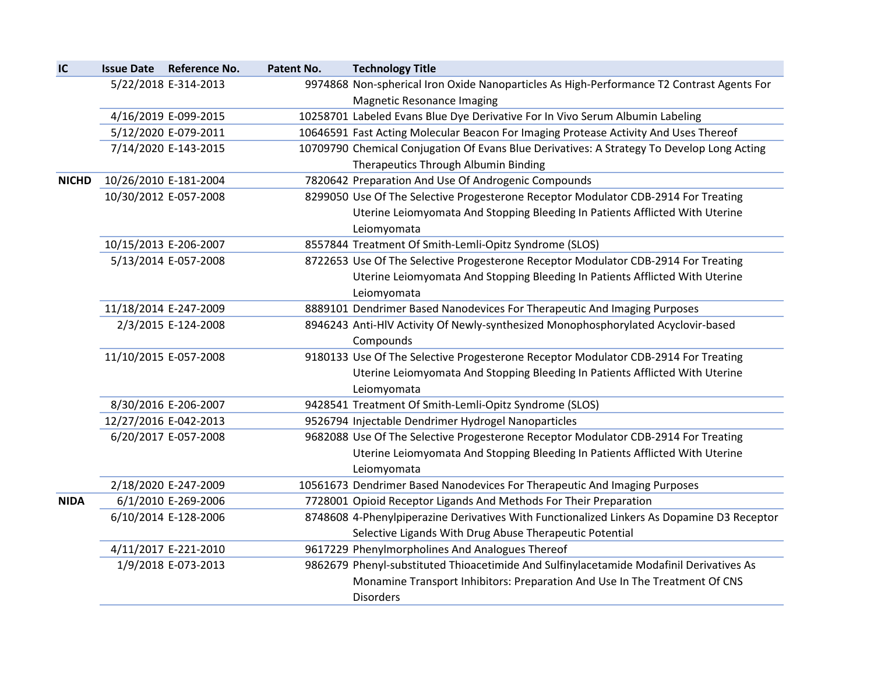| IC           | <b>Issue Date Reference No.</b> | Patent No. | <b>Technology Title</b>                                                                    |
|--------------|---------------------------------|------------|--------------------------------------------------------------------------------------------|
|              | 5/22/2018 E-314-2013            |            | 9974868 Non-spherical Iron Oxide Nanoparticles As High-Performance T2 Contrast Agents For  |
|              |                                 |            | <b>Magnetic Resonance Imaging</b>                                                          |
|              | 4/16/2019 E-099-2015            |            | 10258701 Labeled Evans Blue Dye Derivative For In Vivo Serum Albumin Labeling              |
|              | 5/12/2020 E-079-2011            |            | 10646591 Fast Acting Molecular Beacon For Imaging Protease Activity And Uses Thereof       |
|              | 7/14/2020 E-143-2015            |            | 10709790 Chemical Conjugation Of Evans Blue Derivatives: A Strategy To Develop Long Acting |
|              |                                 |            | Therapeutics Through Albumin Binding                                                       |
| <b>NICHD</b> | 10/26/2010 E-181-2004           |            | 7820642 Preparation And Use Of Androgenic Compounds                                        |
|              | 10/30/2012 E-057-2008           |            | 8299050 Use Of The Selective Progesterone Receptor Modulator CDB-2914 For Treating         |
|              |                                 |            | Uterine Leiomyomata And Stopping Bleeding In Patients Afflicted With Uterine               |
|              |                                 |            | Leiomyomata                                                                                |
|              | 10/15/2013 E-206-2007           |            | 8557844 Treatment Of Smith-Lemli-Opitz Syndrome (SLOS)                                     |
|              | 5/13/2014 E-057-2008            |            | 8722653 Use Of The Selective Progesterone Receptor Modulator CDB-2914 For Treating         |
|              |                                 |            | Uterine Leiomyomata And Stopping Bleeding In Patients Afflicted With Uterine               |
|              |                                 |            | Leiomyomata                                                                                |
|              | 11/18/2014 E-247-2009           |            | 8889101 Dendrimer Based Nanodevices For Therapeutic And Imaging Purposes                   |
|              | 2/3/2015 E-124-2008             |            | 8946243 Anti-HIV Activity Of Newly-synthesized Monophosphorylated Acyclovir-based          |
|              |                                 |            | Compounds                                                                                  |
|              | 11/10/2015 E-057-2008           |            | 9180133 Use Of The Selective Progesterone Receptor Modulator CDB-2914 For Treating         |
|              |                                 |            | Uterine Leiomyomata And Stopping Bleeding In Patients Afflicted With Uterine               |
|              |                                 |            | Leiomyomata                                                                                |
|              | 8/30/2016 E-206-2007            |            | 9428541 Treatment Of Smith-Lemli-Opitz Syndrome (SLOS)                                     |
|              | 12/27/2016 E-042-2013           |            | 9526794 Injectable Dendrimer Hydrogel Nanoparticles                                        |
|              | 6/20/2017 E-057-2008            |            | 9682088 Use Of The Selective Progesterone Receptor Modulator CDB-2914 For Treating         |
|              |                                 |            | Uterine Leiomyomata And Stopping Bleeding In Patients Afflicted With Uterine               |
|              |                                 |            | Leiomyomata                                                                                |
|              | 2/18/2020 E-247-2009            |            | 10561673 Dendrimer Based Nanodevices For Therapeutic And Imaging Purposes                  |
| <b>NIDA</b>  | 6/1/2010 E-269-2006             |            | 7728001 Opioid Receptor Ligands And Methods For Their Preparation                          |
|              | 6/10/2014 E-128-2006            |            | 8748608 4-Phenylpiperazine Derivatives With Functionalized Linkers As Dopamine D3 Receptor |
|              |                                 |            | Selective Ligands With Drug Abuse Therapeutic Potential                                    |
|              | 4/11/2017 E-221-2010            |            | 9617229 Phenylmorpholines And Analogues Thereof                                            |
|              | 1/9/2018 E-073-2013             |            | 9862679 Phenyl-substituted Thioacetimide And Sulfinylacetamide Modafinil Derivatives As    |
|              |                                 |            | Monamine Transport Inhibitors: Preparation And Use In The Treatment Of CNS                 |
|              |                                 |            | <b>Disorders</b>                                                                           |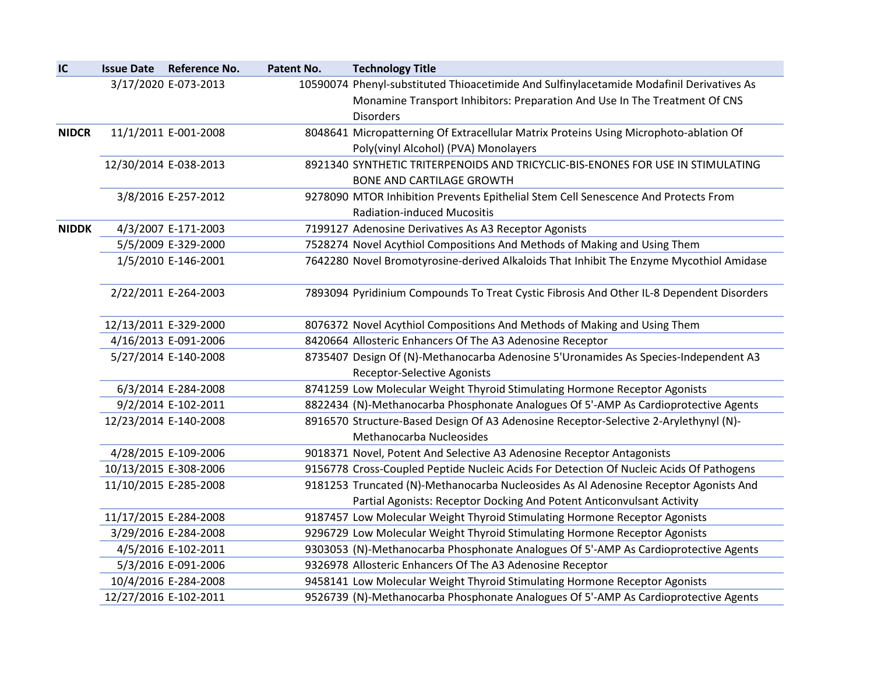| IC           | <b>Issue Date Reference No.</b> | Patent No. | <b>Technology Title</b>                                                                  |
|--------------|---------------------------------|------------|------------------------------------------------------------------------------------------|
|              | 3/17/2020 E-073-2013            |            | 10590074 Phenyl-substituted Thioacetimide And Sulfinylacetamide Modafinil Derivatives As |
|              |                                 |            | Monamine Transport Inhibitors: Preparation And Use In The Treatment Of CNS               |
|              |                                 |            | <b>Disorders</b>                                                                         |
| <b>NIDCR</b> | 11/1/2011 E-001-2008            |            | 8048641 Micropatterning Of Extracellular Matrix Proteins Using Microphoto-ablation Of    |
|              |                                 |            | Poly(vinyl Alcohol) (PVA) Monolayers                                                     |
|              | 12/30/2014 E-038-2013           |            | 8921340 SYNTHETIC TRITERPENOIDS AND TRICYCLIC-BIS-ENONES FOR USE IN STIMULATING          |
|              |                                 |            | <b>BONE AND CARTILAGE GROWTH</b>                                                         |
|              | 3/8/2016 E-257-2012             |            | 9278090 MTOR Inhibition Prevents Epithelial Stem Cell Senescence And Protects From       |
|              |                                 |            | <b>Radiation-induced Mucositis</b>                                                       |
| <b>NIDDK</b> | 4/3/2007 E-171-2003             |            | 7199127 Adenosine Derivatives As A3 Receptor Agonists                                    |
|              | 5/5/2009 E-329-2000             |            | 7528274 Novel Acythiol Compositions And Methods of Making and Using Them                 |
|              | 1/5/2010 E-146-2001             |            | 7642280 Novel Bromotyrosine-derived Alkaloids That Inhibit The Enzyme Mycothiol Amidase  |
|              | 2/22/2011 E-264-2003            |            | 7893094 Pyridinium Compounds To Treat Cystic Fibrosis And Other IL-8 Dependent Disorders |
|              | 12/13/2011 E-329-2000           |            | 8076372 Novel Acythiol Compositions And Methods of Making and Using Them                 |
|              | 4/16/2013 E-091-2006            |            | 8420664 Allosteric Enhancers Of The A3 Adenosine Receptor                                |
|              | 5/27/2014 E-140-2008            |            | 8735407 Design Of (N)-Methanocarba Adenosine 5'Uronamides As Species-Independent A3      |
|              |                                 |            | <b>Receptor-Selective Agonists</b>                                                       |
|              | 6/3/2014 E-284-2008             |            | 8741259 Low Molecular Weight Thyroid Stimulating Hormone Receptor Agonists               |
|              | 9/2/2014 E-102-2011             |            | 8822434 (N)-Methanocarba Phosphonate Analogues Of 5'-AMP As Cardioprotective Agents      |
|              | 12/23/2014 E-140-2008           |            | 8916570 Structure-Based Design Of A3 Adenosine Receptor-Selective 2-Arylethynyl (N)-     |
|              |                                 |            | Methanocarba Nucleosides                                                                 |
|              | 4/28/2015 E-109-2006            |            | 9018371 Novel, Potent And Selective A3 Adenosine Receptor Antagonists                    |
|              | 10/13/2015 E-308-2006           |            | 9156778 Cross-Coupled Peptide Nucleic Acids For Detection Of Nucleic Acids Of Pathogens  |
|              | 11/10/2015 E-285-2008           |            | 9181253 Truncated (N)-Methanocarba Nucleosides As Al Adenosine Receptor Agonists And     |
|              |                                 |            | Partial Agonists: Receptor Docking And Potent Anticonvulsant Activity                    |
|              | 11/17/2015 E-284-2008           |            | 9187457 Low Molecular Weight Thyroid Stimulating Hormone Receptor Agonists               |
|              | 3/29/2016 E-284-2008            |            | 9296729 Low Molecular Weight Thyroid Stimulating Hormone Receptor Agonists               |
|              | 4/5/2016 E-102-2011             |            | 9303053 (N)-Methanocarba Phosphonate Analogues Of 5'-AMP As Cardioprotective Agents      |
|              | 5/3/2016 E-091-2006             |            | 9326978 Allosteric Enhancers Of The A3 Adenosine Receptor                                |
|              | 10/4/2016 E-284-2008            |            | 9458141 Low Molecular Weight Thyroid Stimulating Hormone Receptor Agonists               |
|              | 12/27/2016 E-102-2011           |            | 9526739 (N)-Methanocarba Phosphonate Analogues Of 5'-AMP As Cardioprotective Agents      |